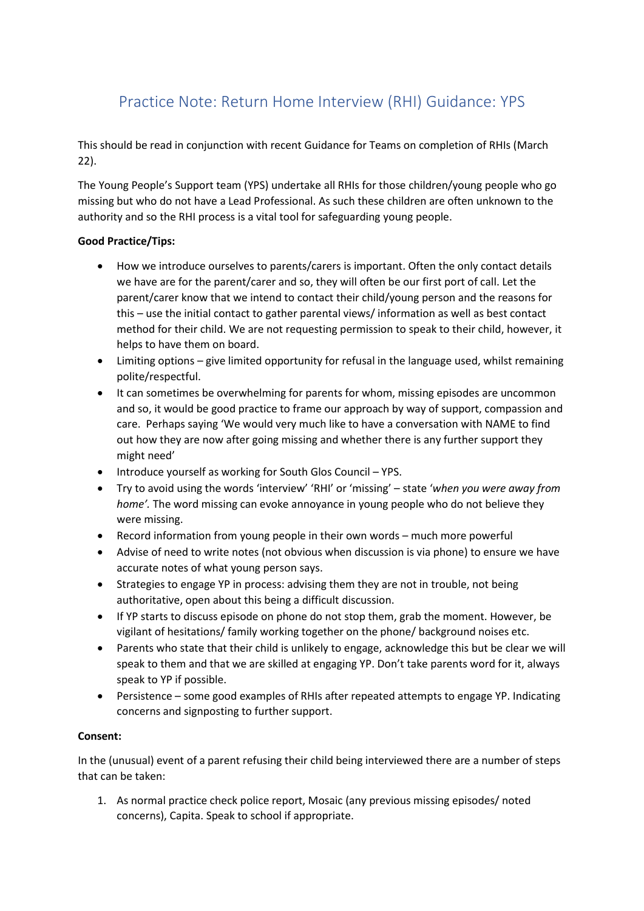## Practice Note: Return Home Interview (RHI) Guidance: YPS

This should be read in conjunction with recent Guidance for Teams on completion of RHIs (March 22).

The Young People's Support team (YPS) undertake all RHIs for those children/young people who go missing but who do not have a Lead Professional. As such these children are often unknown to the authority and so the RHI process is a vital tool for safeguarding young people.

## **Good Practice/Tips:**

- How we introduce ourselves to parents/carers is important. Often the only contact details we have are for the parent/carer and so, they will often be our first port of call. Let the parent/carer know that we intend to contact their child/young person and the reasons for this – use the initial contact to gather parental views/ information as well as best contact method for their child. We are not requesting permission to speak to their child, however, it helps to have them on board.
- Limiting options give limited opportunity for refusal in the language used, whilst remaining polite/respectful.
- It can sometimes be overwhelming for parents for whom, missing episodes are uncommon and so, it would be good practice to frame our approach by way of support, compassion and care. Perhaps saying 'We would very much like to have a conversation with NAME to find out how they are now after going missing and whether there is any further support they might need'
- Introduce yourself as working for South Glos Council YPS.
- Try to avoid using the words 'interview' 'RHI' or 'missing' state '*when you were away from home'.* The word missing can evoke annoyance in young people who do not believe they were missing.
- Record information from young people in their own words much more powerful
- Advise of need to write notes (not obvious when discussion is via phone) to ensure we have accurate notes of what young person says.
- Strategies to engage YP in process: advising them they are not in trouble, not being authoritative, open about this being a difficult discussion.
- If YP starts to discuss episode on phone do not stop them, grab the moment. However, be vigilant of hesitations/ family working together on the phone/ background noises etc.
- Parents who state that their child is unlikely to engage, acknowledge this but be clear we will speak to them and that we are skilled at engaging YP. Don't take parents word for it, always speak to YP if possible.
- Persistence some good examples of RHIs after repeated attempts to engage YP. Indicating concerns and signposting to further support.

## **Consent:**

In the (unusual) event of a parent refusing their child being interviewed there are a number of steps that can be taken:

1. As normal practice check police report, Mosaic (any previous missing episodes/ noted concerns), Capita. Speak to school if appropriate.